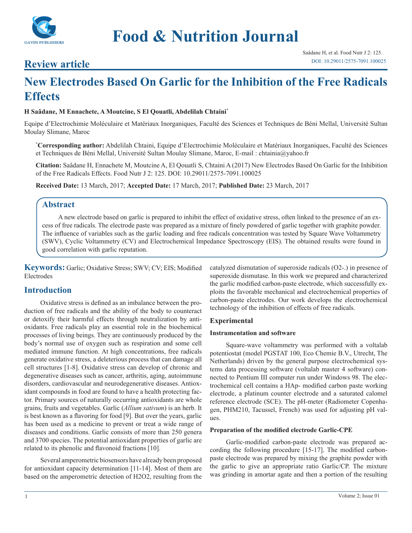

# **Review article**

# **New Electrodes Based On Garlic for the Inhibition of the Free Radicals Effects**

# **H Saâdane, M Ennachete, A Moutcine, S El Qouatli, Abdelilah Chtaini\***

Equipe d'Electrochimie Moléculaire et Matériaux Inorganiques, Faculté des Sciences et Techniques de Béni Mellal, Université Sultan Moulay Slimane, Maroc

**\* Corresponding author:** Abdelilah Chtaini, Equipe d'Electrochimie Moléculaire et Matériaux Inorganiques, Faculté des Sciences et Techniques de Béni Mellal, Université Sultan Moulay Slimane, Maroc, E-mail : chtainia@yahoo.fr

**Citation:** Saâdane H, Ennachete M, Moutcine A, El Qouatli S, Chtaini A (2017) New Electrodes Based On Garlic for the Inhibition of the Free Radicals Effects. Food Nutr J 2: 125. DOI: 10.29011/2575-7091.100025

**Received Date:** 13 March, 2017; **Accepted Date:** 17 March, 2017; **Published Date:** 23 March, 2017

# **Abstract**

A new electrode based on garlic is prepared to inhibit the effect of oxidative stress, often linked to the presence of an excess of free radicals. The electrode paste was prepared as a mixture of finely powdered of garlic together with graphite powder. The influence of variables such as the garlic loading and free radicals concentration was tested by Square Wave Voltammetry (SWV), Cyclic Voltammetry (CV) and Electrochemical Impedance Spectroscopy (EIS). The obtained results were found in good correlation with garlic reputation.

**Keywords:** Garlic; Oxidative Stress; SWV; CV; EIS; Modified Electrodes

# **Introduction**

Oxidative stress is defined as an imbalance between the production of free radicals and the ability of the body to counteract or detoxify their harmful effects through neutralization by antioxidants. Free radicals play an essential role in the biochemical processes of living beings. They are continuously produced by the body's normal use of oxygen such as respiration and some cell mediated immune function. At high concentrations, free radicals generate oxidative stress, a deleterious process that can damage all cell structures [1-8]. Oxidative stress can develop of chronic and degenerative diseases such as cancer, arthritis, aging, autoimmune disorders, cardiovascular and neurodegenerative diseases. Antioxidant compounds in food are found to have a health protecting factor. Primary sources of naturally occurring antioxidants are whole grains, fruits and vegetables. Garlic (*Allium sativum*) is an herb. It is best known as a flavoring for food [9]. But over the years, garlic has been used as a medicine to prevent or treat a wide range of diseases and conditions. Garlic consists of more than 250 genera and 3700 species. The potential antioxidant properties of garlic are related to its phenolic and flavonoid fractions [10].

Several amperometric biosensors have already been proposed for antioxidant capacity determination [11-14]. Most of them are based on the amperometric detection of H2O2, resulting from the

catalyzed dismutation of superoxide radicals (O2-.) in presence of superoxide dismutase. In this work we prepared and characterized the garlic modified carbon-paste electrode, which successfully exploits the favorable mechanical and electrochemical properties of carbon-paste electrodes. Our work develops the electrochemical technology of the inhibition of effects of free radicals.

## **Experimental**

#### **Instrumentation and software**

Square-wave voltammetry was performed with a voltalab potentiostat (model PGSTAT 100, Eco Chemie B.V., Utrecht, The Netherlands) driven by the general purpose electrochemical systems data processing software (voltalab master 4 software) connected to Pentium III computer run under Windows 98. The electrochemical cell contains a HAp- modified carbon paste working electrode, a platinum counter electrode and a saturated calomel reference electrode (SCE). The pH-meter (Radiometer Copenhagen, PHM210, Tacussel, French) was used for adjusting pH values.

#### **Preparation of the modified electrode Garlic-CPE**

Garlic-modified carbon-paste electrode was prepared according the following procedure [15-17]. The modified carbonpaste electrode was prepared by mixing the graphite powder with the garlic to give an appropriate ratio Garlic/CP. The mixture was grinding in amortar agate and then a portion of the resulting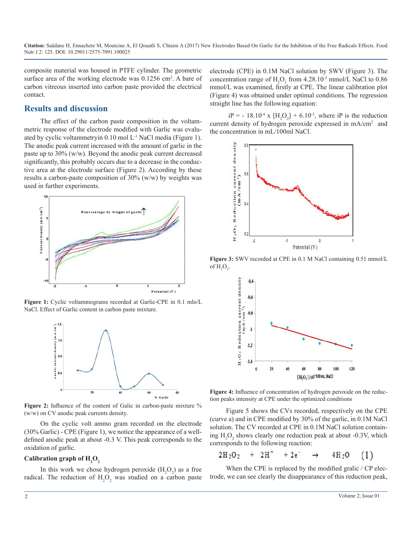**Citation:** Saâdane H, Ennachete M, Moutcine A, El Qouatli S, Chtaini A (2017) New Electrodes Based On Garlic for the Inhibition of the Free Radicals Effects. Food Nutr J 2: 125. DOI: 10.29011/2575-7091.100025

composite material was housed in PTFE cylinder. The geometric surface area of the working electrode was  $0.1256$  cm<sup>2</sup>. A bare of carbon vitreous inserted into carbon paste provided the electrical contact.

#### **Results and discussion**

The effect of the carbon paste composition in the voltammetric response of the electrode modified with Garlic was evaluated by cyclic voltammetryin 0.10 mol L-1 NaCl media (Figure 1). The anodic peak current increased with the amount of garlic in the paste up to 30% (w/w). Beyond the anodic peak current decreased significantly, this probably occurs due to a decrease in the conductive area at the electrode surface (Figure 2). According by these results a carbon-paste composition of 30% (w/w) by weights was used in further experiments.



**Figure 1:** Cyclic voltammograms recorded at Garlic-CPE in 0.1 mlo/L NaCl. Effect of Garlic content in carbon paste mixture.



Figure 2: Influence of the content of Galic in carbon-paste mixture % (w/w) on CV anodic peak currents density.

On the cyclic volt ammo gram recorded on the electrode (30% Garlic) - CPE (Figure 1), we notice the appearance of a welldefined anodic peak at about -0.3 V. This peak corresponds to the oxidation of garlic.

# Calibration graph of  $\mathrm{H}_{\scriptscriptstyle{2}}\mathrm{O}_{\scriptscriptstyle{2}}$

In this work we chose hydrogen peroxide  $(H_2O_2)$  as a free radical. The reduction of  $H_2O_2$  was studied on a carbon paste electrode (CPE) in 0.1M NaCl solution by SWV (Figure 3). The concentration range of  $H_2O_2$  from 4.28.10<sup>-2</sup> mmol/L NaCl to 0.86 mmol/L was examined, firstly at CPE. The linear calibration plot (Figure 4) was obtained under optimal conditions. The regression straight line has the following equation:

 $iP = -18.10^4$  x  $[H_2O_2] + 6.10^3$ , where iP is the reduction current density of hydrogen peroxide expressed in mA/cm2 and the concentration in mL/100ml NaCl.



**Figure 3:** SWV recorded at CPE in 0.1 M NaCl containing 0.51 mmol/L of  $H_2O_2$ .



**Figure 4:** Influence of concentration of hydrogen peroxide on the reduction peaks intensity at CPE under the optimized conditions

Figure 5 shows the CVs recorded, respectively on the CPE (curve a) and in CPE modified by 30% of the garlic, in 0.1M NaCl solution. The CV recorded at CPE in  $0.1M$  NaCl solution containing  $H_2O_2$  shows clearly one reduction peak at about -0.3V, which corresponds to the following reaction:

$$
2H_2O_2 + 2H^+ + 2e^+ \rightarrow 4H_2O \quad (1)
$$

When the CPE is replaced by the modified gralic / CP electrode, we can see clearly the disappearance of this reduction peak,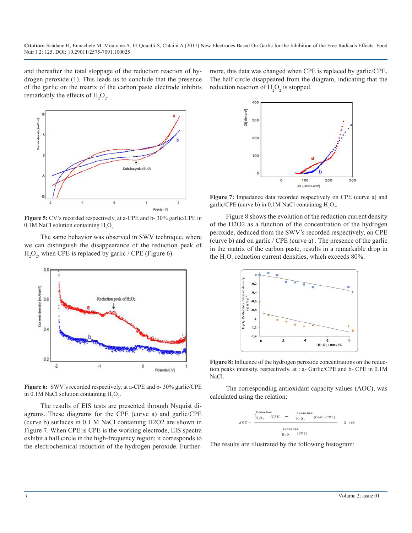**Citation:** Saâdane H, Ennachete M, Moutcine A, El Qouatli S, Chtaini A (2017) New Electrodes Based On Garlic for the Inhibition of the Free Radicals Effects. Food Nutr J 2: 125. DOI: 10.29011/2575-7091.100025

and thereafter the total stoppage of the reduction reaction of hydrogen peroxide (1). This leads us to conclude that the presence of the garlic on the matrix of the carbon paste electrode inhibits remarkably the effects of  $H_2O_2$ .



**Figure 5:** CV's recorded respectively, at a-CPE and b- 30% garlic/CPE in  $0.1M$  NaCl solution containing  $H_2O_2$ .

The same behavior was observed in SWV technique, where we can distinguish the disappearance of the reduction peak of  $H_2O_2$ , when CPE is replaced by garlic / CPE (Figure 6).



**Figure 6:** SWV's recorded respectively, at a-CPE and b- 30% garlic/CPE in 0.1M NaCl solution containing  $H_2O_2$ .

The results of EIS tests are presented through Nyquist diagrams. These diagrams for the CPE (curve a) and garlic/CPE (curve b) surfaces in 0.1 M NaCl containing H2O2 are shown in Figure 7. When CPE is CPE is the working electrode, EIS spectra exhibit a half circle in the high-frequency region; it corresponds to the electrochemical reduction of the hydrogen peroxide. Furthermore, this data was changed when CPE is replaced by garlic/CPE, The half circle disappeared from the diagram, indicating that the reduction reaction of  $H_2O_2$  is stopped.



**Figure 7:** Impedance data recorded respectively on CPE (curve a) and garlic/CPE (curve b) in  $0.1M$  NaCl containing  $H_2O_2$ .

Figure 8 shows the evolution of the reduction current density of the H2O2 as a function of the concentration of the hydrogen peroxide, deduced from the SWV's recorded respectively, on CPE (curve b) and on garlic / CPE (curve a) . The presence of the garlic in the matrix of the carbon paste, results in a remarkable drop in the  $H_2O_2$  reduction current densities, which exceeds 80%.



**Figure 8:** Influence of the hydrogen peroxide concentrations on the reduction peaks intensity, respectively, at : a- Garlic/CPE and b- CPE in 0.1M NaCl.

The corresponding antioxidant capacity values (AOC), was calculated using the relation:

$$
A \odot C = \frac{0.7 \text{ reduction}}{1 + 0.2} \quad (CPE) \quad - \quad \frac{0.7 \text{ reduction}}{1 + 0.2} \quad (Gartic/CPE)
$$
\n
$$
A \odot C = \frac{0.7 \text{ reduction}}{1 + 0.2} \quad (CPE)
$$

The results are illustrated by the following histogram: